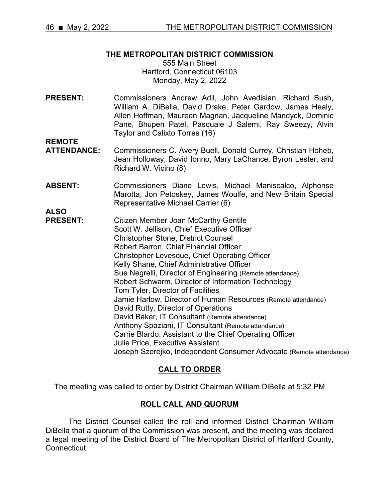#### **THE METROPOLITAN DISTRICT COMMISSION**

555 Main Street Hartford, Connecticut 06103 Monday, May 2, 2022

**PRESENT:** Commissioners Andrew Adil, John Avedisian, Richard Bush, William A. DiBella, David Drake, Peter Gardow, James Healy, Allen Hoffman, Maureen Magnan, Jacqueline Mandyck, Dominic Pane, Bhupen Patel, Pasquale J Salemi, Ray Sweezy, Alvin Taylor and Calixto Torres (16)

- **REMOTE**  Commissioners C. Avery Buell, Donald Currey, Christian Hoheb, Jean Holloway, David Ionno, Mary LaChance, Byron Lester, and Richard W. Vicino (8)
- **ABSENT:** Commissioners Diane Lewis, Michael Maniscalco, Alphonse Marotta, Jon Petoskey, James Woulfe, and New Britain Special Representative Michael Carrier (6)
- **ALSO Citizen Member Joan McCarthy Gentile** Scott W. Jellison, Chief Executive Officer Christopher Stone, District Counsel Robert Barron, Chief Financial Officer Christopher Levesque, Chief Operating Officer Kelly Shane, Chief Administrative Officer Sue Negrelli, Director of Engineering (Remote attendance) Robert Schwarm, Director of Information Technology Tom Tyler, Director of Facilities Jamie Harlow, Director of Human Resources (Remote attendance) David Rutty, Director of Operations David Baker, IT Consultant (Remote attendance) Anthony Spaziani, IT Consultant (Remote attendance) Carrie Blardo, Assistant to the Chief Operating Officer Julie Price, Executive Assistant Joseph Szerejko, Independent Consumer Advocate (Remote attendance)

# **CALL TO ORDER**

The meeting was called to order by District Chairman William DiBella at 5:32 PM

## **ROLL CALL AND QUORUM**

The District Counsel called the roll and informed District Chairman William DiBella that a quorum of the Commission was present, and the meeting was declared a legal meeting of the District Board of The Metropolitan District of Hartford County, Connecticut.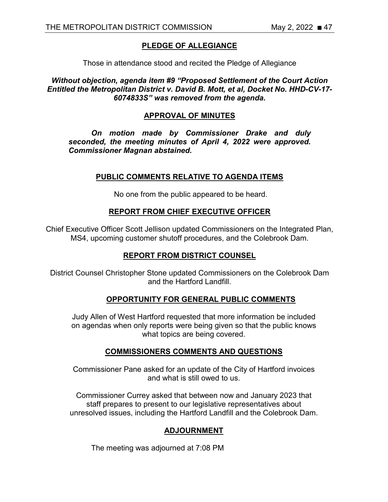# **PLEDGE OF ALLEGIANCE**

Those in attendance stood and recited the Pledge of Allegiance

*Without objection, agenda item #9 "Proposed Settlement of the Court Action Entitled the Metropolitan District v. David B. Mott, et al, Docket No. HHD-CV-17- 6074833S" was removed from the agenda.*

#### **APPROVAL OF MINUTES**

*On motion made by Commissioner Drake and duly seconded, the meeting minutes of April 4, 2022 were approved. Commissioner Magnan abstained.*

#### **PUBLIC COMMENTS RELATIVE TO AGENDA ITEMS**

No one from the public appeared to be heard.

# **REPORT FROM CHIEF EXECUTIVE OFFICER**

Chief Executive Officer Scott Jellison updated Commissioners on the Integrated Plan, MS4, upcoming customer shutoff procedures, and the Colebrook Dam.

# **REPORT FROM DISTRICT COUNSEL**

District Counsel Christopher Stone updated Commissioners on the Colebrook Dam and the Hartford Landfill.

## **OPPORTUNITY FOR GENERAL PUBLIC COMMENTS**

Judy Allen of West Hartford requested that more information be included on agendas when only reports were being given so that the public knows what topics are being covered.

## **COMMISSIONERS COMMENTS AND QUESTIONS**

Commissioner Pane asked for an update of the City of Hartford invoices and what is still owed to us.

Commissioner Currey asked that between now and January 2023 that staff prepares to present to our legislative representatives about unresolved issues, including the Hartford Landfill and the Colebrook Dam.

## **ADJOURNMENT**

The meeting was adjourned at 7:08 PM